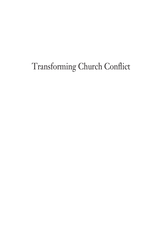# Transforming Church Conflict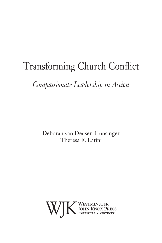# Transforming Church Conflict

*Compassionate Leadership in Action*

Deborah van Deusen Hunsinger Theresa F. Latini

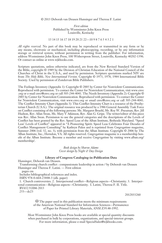© 2013 Deborah van Deusen Hunsinger and Theresa F. Latini

*First edition* Published by Westminster John Knox Press Louisville, Kentucky

13 14 15 16 17 18 19 20 21 22—10 9 8 7 6 5 4 3 2 1

*All rights reserved.* No part of this book may be reproduced or transmitted in any form or by any means, electronic or mechanical, including photocopying, recording, or by any information storage or retrieval system, without permission in writing from the publisher. For information, address Westminster John Knox Press, 100 Witherspoon Street, Louisville, Kentucky 40202-1396. Or contact us online at www.wjkbooks.com.

Scripture quotations, unless otherwise indicated, are from the New Revised Standard Version of the Bible, copyright © 1989 by the Division of Christian Education of the National Council of the Churches of Christ in the U.S.A., and used by permission. Scripture quotations marked NIV are from *The Holy Bible, New International Version.* Copyright © 1973, 1978, 1984 International Bible Society. Used by permission of Zondervan Bible Publishers.

The Feelings Inventory (Appendix 1): Copyright © 2005 by Center for Nonviolent Communication. Reproduced with permission. To contact the Center for Nonviolent Communication, visit www.cnvc .org or e-mail cnvc@cnvc.org or call 505-244-4041. The Needs Inventory (Appendix 2): Copyright © 2005 by Center for Nonviolent Communication. Reproduced with permission. To contact the Center for Nonviolent Communication, visit www.cnvc.org or email cnvc@cnvc.org or call 505-244-4041. The Conflict Intensity Chart (Appendix 3): This Conflict Intensity Chart is a resource of the Presbyterian Church (U.S.A.). The original resource was produced by a 1986 General Assembly Task Force on Conflict consisting of the following persons: Ms. Margaret Bruehl, Mr. Roy W. Pneuman, Rev. Jill Hudson, Rev. Allan Swan, Ms. Mary V Atkinson, Rev. Alan G. Gripe. The writer/editor of this piece was Rev. Allan Swan. Permission to use the general categories and the descriptions of the Levels of Conflict has been granted by the Rev. Speed Leas of the Alban Institute, Bethesda Maryland. "Speed Leas' Levels of Conflict" appeared in "A Pioneering Spirit: Speed Leas Celebrates Four Decades of Conflict Management Consulting" by Kathryn Palen and is reprinted from *Congregations* magazine, Summer 2006 (vol. 32, no. 3), with permission from the Alban Institute. Copyright © 2006 by The Alban Institute, Inc., Herndon, VA. All rights reserved. *Congregations* magazine is a membership benefit of the Alban Institute. Become a member and receive *Congregations* by visiting www.alban.org/ membership/.

> *Book design by Sharon Adams Cover design by Night & Day Design*

#### **Library of Congress Cataloging-in-Publication Data**

Hunsinger, Deborah van Deusen.

 Transforming church conflict : compassionate leadership in action / by Deborah van Deusen Hunsinger and Theresa F. Latini. — First edition

pages cm

Includes bibliographical references and index.

ISBN 978-0-664-23848-3 (alk. paper)

 1. Church controversies. 2. Interpersonal conflict—Religious aspects—Christianity. 3. Interpersonal communication—Religious aspects—Christianity. I. Latini, Theresa F. II. Title.

BV652.9.H86 2013

253—dc23

2012033260

 $\otimes$  The paper used in this publication meets the minimum requirements of the American National Standard for Information Sciences—Permanence of Paper for Printed Library Materials, ANSI Z39.48-1992.

Most Westminster John Knox Press books are available at special quantity discounts when purchased in bulk by corporations, organizations, and special-interest groups. For more information, please e-mail SpecialSales@wjkbooks.com.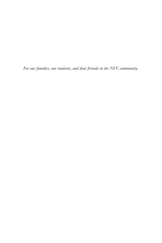*For our families, our students, and dear friends in the NVC community.*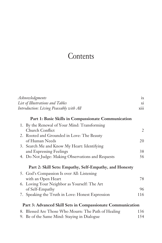## **Contents**

| Acknowledgments                                     |                                                            | 1X             |
|-----------------------------------------------------|------------------------------------------------------------|----------------|
| List of Illustrations and Tables                    |                                                            | X1             |
| Introduction: Living Peaceably with All             |                                                            | xiii           |
|                                                     | Part 1: Basic Skills in Compassionate Communication        |                |
| 1. By the Renewal of Your Mind: Transforming        |                                                            |                |
| <b>Church Conflict</b>                              |                                                            | $\overline{2}$ |
| 2. Rooted and Grounded in Love: The Beauty          |                                                            |                |
| of Human Needs                                      |                                                            | 20             |
| 3. Search Me and Know My Heart: Identifying         |                                                            |                |
| and Expressing Feelings                             |                                                            | 38             |
| 4. Do Not Judge: Making Observations and Requests   |                                                            | 56             |
|                                                     | Part 2: Skill Sets: Empathy, Self-Empathy, and Honesty     |                |
| 5. God's Compassion Is over All: Listening          |                                                            |                |
| with an Open Heart                                  |                                                            | 78             |
| 6. Loving Your Neighbor as Yourself: The Art        |                                                            |                |
| of Self-Empathy                                     |                                                            | 96             |
| 7. Speaking the Truth in Love: Honest Expression    |                                                            | 116            |
|                                                     | Part 3: Advanced Skill Sets in Compassionate Communication |                |
| 8. Blessed Are Those Who Mourn: The Path of Healing |                                                            | 136            |
| 9. Be of the Same Mind: Staying in Dialogue         |                                                            | 154            |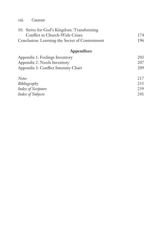viii *Contents*

| 10. Strive for God's Kingdom: Transforming     |     |
|------------------------------------------------|-----|
| Conflict in Church-Wide Crises                 | 174 |
| Conclusion: Learning the Secret of Contentment | 196 |

#### **Appendixes**

| Appendix 1: Feelings Inventory       | 203 |
|--------------------------------------|-----|
| Appendix 2: Needs Inventory          | 207 |
| Appendix 3: Conflict Intensity Chart | 209 |
| <b>Notes</b>                         | 217 |
| Bibliography                         | 235 |
| <b>Index of Scripture</b>            | 239 |
| <b>Index of Subjects</b>             | 241 |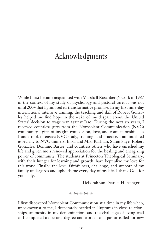## Acknowledgments

While I first became acquainted with Marshall Rosenberg's work in 1987 in the context of my study of psychology and pastoral care, it was not until 2004 that I glimpsed its transformative promise. In my first nine-day international intensive training, the teaching and skill of Robert Gonzales helped me find hope in the wake of my despair about the United States' decision to wage war against Iraq. During the next six years, I received countless gifts from the Nonviolent Communication (NVC) community—gifts of insight, compassion, love, and companionship—as I undertook intensive NVC study, training, and practice. I am indebted especially to NVC trainers, Inbal and Miki Kashtan, Susan Skye, Robert Gonzales, Dominic Barter, and countless others who have enriched my life and given me a renewed appreciation for the healing and energizing power of community. The students at Princeton Theological Seminary, with their hunger for learning and growth, have kept alive my love for this work. Finally, the love, faithfulness, challenge, and support of my family undergirds and upholds me every day of my life. I thank God for you daily.

Deborah van Deusen Hunsinger

xxxxxxx

I first discovered Nonviolent Communication at a time in my life when, unbeknownst to me, I desperately needed it. Ruptures in close relationships, animosity in my denomination, and the challenge of living well as I completed a doctoral degree and worked as a pastor called for new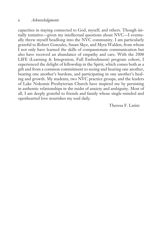capacities in staying connected to God, myself, and others. Though initially tentative—given my intellectual questions about NVC—I eventually threw myself headlong into the NVC community. I am particularly grateful to Robert Gonzales, Susan Skye, and Myra Walden, from whom I not only have learned the skills of compassionate communication but also have received an abundance of empathy and care. With the 2008 LIFE (Learning & Integration, Full Embodiment) program cohort, I experienced the delight of fellowship in the Spirit, which comes both as a gift and from a common commitment to seeing and hearing one another, bearing one another's burdens, and participating in one another's healing and growth. My students, two NVC practice groups, and the leaders of Lake Nokomis Presbyterian Church have inspired me by persisting in authentic relationships in the midst of anxiety and ambiguity. Most of all, I am deeply grateful to friends and family whose single-minded and openhearted love nourishes my soul daily.

Theresa F. Latini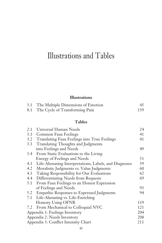# Illustrations and Tables

#### **Illustrations**

| 3.1 The Multiple Dimensions of Emotion | 45  |
|----------------------------------------|-----|
| 8.1 The Cycle of Transforming Pain     | 139 |

#### **Tables**

| 2.1 | Universal Human Needs                                  | 24  |
|-----|--------------------------------------------------------|-----|
| 3.1 | <b>Common Faux Feelings</b>                            | 41  |
| 3.2 | <b>Translating Faux Feelings into True Feelings</b>    | 41  |
| 3.3 | <b>Translating Thoughts and Judgments</b>              |     |
|     | into Feelings and Needs                                | 49  |
| 3.4 | From Static Evaluations to the Living                  |     |
|     | <b>Energy of Feelings and Needs</b>                    | 51  |
| 4.1 | Life-Alienating Interpretations, Labels, and Diagnoses | 59  |
| 4.2 | Moralistic Judgments vs. Value Judgments               | 60  |
| 4.3 | Taking Responsibility for Our Evaluations              | 62  |
| 4.4 | Differentiating Needs from Requests                    | 69  |
| 5.1 | From Faux Feelings to an Honest Expression             |     |
|     | of Feelings and Needs                                  | 93  |
|     | 5.2 Empathic Responses to Expressed Judgments          | 94  |
| 7.1 | Life-Alienating vs. Life-Enriching                     |     |
|     | <b>Honesty Using OFNR</b>                              | 119 |
| 7.2 | From Mechanical to Colloquial NVC                      | 121 |
|     | Appendix 1: Feelings Inventory                         | 204 |
|     | Appendix 2: Needs Inventory                            | 208 |
|     | Appendix 3: Conflict Intensity Chart                   | 211 |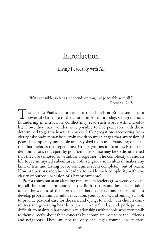### Introduction

Living Peaceably with All

"If it is possible, so far as it depends on you, live peaceably with all." Romans 12:18

The apostle Paul's exhortation to the church at Rome stands as a powerful challenge to the church in America today. Congregations floundering in intractable conflict may read such words with incredulity; how, they may wonder, is it possible to live peaceably with those determined to get their way at any cost? Congregations recovering from clergy misconduct may be seething with so much anger that any vision of peace is completely untenable unless yoked to an understanding of a justice that includes real repentance. Congregations in mainline Protestant denominations rent apart by polarizing discourse may be so disheartened that they are tempted to withdraw altogether. The complexity of church life today in myriad subcultures, both religious and cultural, makes any kind of true and lasting peace sometimes seem completely out of reach. How are pastors and church leaders to tackle such complexity with any clarity of purpose or vision of a happy outcome?

Pastors burn out at an alarming rate, and lay leaders grow weary of keeping all the church's programs afloat. Both pastors and lay leaders falter under the weight of their own and others' expectations to do it all—to develop programming in adult education, youth groups, and Sunday school; to provide pastoral care for the sick and dying; to work with church committees and governing boards; to preach every Sunday; and, perhaps most difficult, to maintain harmonious relationships with people who won't talk to them directly about their concerns but complain instead to their friends and neighbors. These are not the only challenges church leaders face.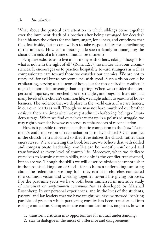What about the pastoral care situation in which siblings come together over the imminent death of a brother after being estranged for decades? Each blames the others for the hurt, anger, loneliness, and emptiness that they feel inside, but no one wishes to take responsibility for contributing to the impasse. How can a pastor guide such a family in untangling the chaotic threads of a lifetime of mutual resentment?

Scripture exhorts us to live in harmony with others, taking "thought for what is noble in the sight of all" (Rom. 12:17) no matter what our circumstances. It encourages us to practice hospitality toward strangers as well as compassionate care toward those we consider our enemies. We are not to repay evil for evil but to overcome evil with good. Such a vision could be exhilarating, serving as a beacon of hope, but for those mired in conflict, it might be more disheartening than inspiring. When we consider the interpersonal impasses, entrenched power struggles, and ongoing frustration at many levels of the church's common life, we might admit to seasons of hopelessness. The violence that we deplore in the world exists, if we are honest, in our own hearts as well. Though we may not have murdered our brother or sister, there are times when we might admit to harboring feelings of murderous rage. When we find ourselves caught up in a polarized struggle, we may rightly wonder how we can serve as ambassadors of reconciliation.

How is it possible to retain an authentic connection to the New Testament's enduring vision of reconciliation in today's church? Can conflict in the church be transformed so that it revitalizes the church rather than enervates it? We are writing this book because we believe that with skilled and compassionate leadership, conflict can be honestly confronted and transformed at every level of church life. Moreover, when we dedicate ourselves to learning certain skills, not only is the conflict transformed, but so are we. Though the skills we will describe obviously cannot usher in the promised kingdom of God—for no human undertaking can bring about the redemption we long for—they can keep churches connected to a common vision and working together toward life-giving purposes. For the past nine years we have both been immersed in intensive study of *nonviolent* or *compassionate communication* as developed by Marshall Rosenberg. In our personal experiences, and in the lives of the students, pastors, and lay leaders that we have taught, we have witnessed inspiring parables of grace in which paralyzing conflict has been transformed into caring connection. Compassionate communication has taught us how to:

- 1. transform criticism into opportunities for mutual understanding;
- 2. stay in dialogue in the midst of difference and disagreement;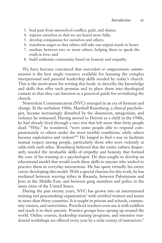- 3. heal pain from unresolved conflict, guilt, and shame;
- 4. express ourselves so that we are heard more fully;
- 5. develop compassion for ourselves and others;
- 6. transform anger so that others will take our urgent needs to heart;
- 7. mediate between two or more others, helping them to speak the truth in love; and
- 8. build authentic community based on honesty and empathy.

We have become convinced that *nonviolent or compassionate communication* is the best single resource available for learning the complex interpersonal and pastoral leadership skills needed by today's church. This is the motivation for writing this book: to describe the knowledge and skills that offer such promise and to place them into theological context so that they can function as a practical guide for revitalizing the church.

Nonviolent Communication (NVC) emerged in an era of ferment and change. In the turbulent 1960s, Marshall Rosenberg, a clinical psychologist, became increasingly disturbed by the dissension, antagonism, and violence he witnessed. Having moved to Detroit as a child in the 1940s, he had already lived through a race riot that left more than forty people dead. "Why," he wondered, "were some people able to respond compassionately to others under the most terrible conditions, while others became exploitative and violent?"1 He longed to find a way to facilitate mutual respect among people, particularly those who were violently at odds with each other. Rosenberg believed that the entire culture desperately needed the invaluable skills of empathy and honesty that formed the core of his training as a psychologist. He thus sought to develop an educational model that would teach these skills to anyone who wished to practice them in everyday interactions. He has spent virtually his entire career developing this model. With a special charism for this work, he has mediated between warring tribes in Rwanda, between Palestinians and Jews in the Middle East, and between gang members and police in the inner cities of the United States.

During the past twenty years, NVC has grown into an international training and peacemaking organization<sup>2</sup> with certified trainers and teams in more than thirty countries. It is taught in prisons and schools, community centers, and universities. Preschool teachers even use it with toddlers and teach it to their parents. Practice groups have sprung up around the world. Online courses, leadership training programs, and intensive residential workshops are offered every year by a wide variety of instructors.<sup>3</sup>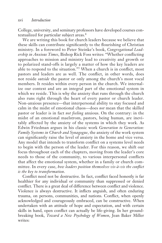College, university, and seminary professors have developed courses contextualized for particular subject areas.<sup>4</sup>

We are writing this book for church leaders because we believe that these skills can contribute significantly to the flourishing of Christian ministry. In a foreword to Peter Steinke's book, *Congregational Leadership in Anxious Times*, Bishop Rick Foss writes: "Whether conflicting approaches to mission and ministry lead to creativity and growth or to polarized stand-offs is largely a matter of how the key leaders are able to respond to the situation."5 When a church is in conflict, most pastors and leaders are as well. The conflict, in other words, does not reside *outside* the pastor or only among the church's most vocal members. It resides within every person in the church. We internalize our context and are an integral part of the emotional system in which we reside. This is why the anxiety that runs through the church also runs right through the heart of every pastor or church leader. Non-anxious presence—that interpersonal ability to stay focused and calm in the midst of emotional chaos—does *not* mean that the skilled pastor or leader is in fact *not feeling* anxious. On the contrary: in the midst of an emotional maelstrom, pastors, being human, are inevitably affected by the anxiety of the systems in which they work. As Edwin Friedman argues in his classic work *Generation to Generation: Family Systems in Church and Synagogue*, the anxiety of the work system can significantly raise the level of anxiety in the home and vice versa. Any model that intends to transform conflict on a systems level needs to begin with the person of the leader. For this reason, we shift our focus throughout each of the chapters, moving from the leader's core needs to those of the community, to various interpersonal conflicts that affect the emotional system, whether in a family or church committee. In every case, *how leaders position themselves vis-à-vis the conflict is the key to transformation*.

Conflict need not be destructive. In fact, conflict faced honestly is far healthier for any individual or community than suppressed or denied conflict. There is a great deal of difference between conflict and violence. Violence is always destructive. It inflicts anguish, and often enduring trauma, on persons, communities, and nations. Conflict, when openly acknowledged and courageously embraced, can be constructive. When undertaken with an attitude of hope and expectation, and with certain skills in hand, open conflict can actually be life-giving. In her groundbreaking book, *Toward a New Psychology of Women*, Jean Baker Miller writes: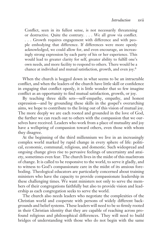Conflict, seen in its fullest sense, is not necessarily threatening or destructive. Quite the contrary. . . . We all grow via conflict. . . . Growth requires engagement with difference and with people embodying that difference. If differences were more openly acknowledged, we could allow for, and even encourage, an increasingly strong expression by each party of his or her experience. This would lead to greater clarity for self, greater ability to fulfill one's own needs, and more facility to respond to others. There would be a chance at individual and mutual satisfaction, growth, and even joy.6

When the church is bogged down in what seems to be an intractable conflict, and when the leaders of the church have little skill or confidence in engaging that conflict openly, it is little wonder that so few imagine conflict as an opportunity to find mutual satisfaction, growth, or joy.

By teaching three skills sets—self-empathy, empathy, and honest expression—and by grounding these skills in the gospel's overarching aims, we hope to contribute to the living out of this vision of mutual joy. The more deeply we are each rooted and grounded in the love of God, the further we can reach out to others with the compassion that we ourselves have received. Leaders who work from a place of mutuality and joy have a wellspring of compassion toward others, even those with whom they disagree.

At the beginning of the third millennium we live in an increasingly complex world marked by rapid change in every sphere of life: political, economic, communal, religious, and domestic. Such widespread and ongoing change gives rise to pervasive feelings of uncertainty and anxiety, sometimes even fear. The church lives in the midst of this maelstrom of change. It is called to be responsive to the world, to serve it gladly, and to witness to God's compassionate care in the midst of its anxious foreboding. Theological educators are particularly concerned about training ministers who have the capacity to provide compassionate leadership in these challenging times. We want ministers not only to serve the members of their congregations faithfully but also to provide vision and leadership as each congregation seeks to serve the world.

The church also needs leaders who negotiate the complexities of the Christian world and cooperate with persons of widely different backgrounds and belief systems. These leaders will need to be so firmly rooted in their Christian identity that they are capable of reaching across profound religious and philosophical differences. They will need to build bridges of understanding with those who do not begin with the same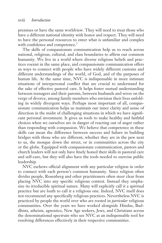premises or have the same worldview. They will need to treat those who have a different national identity with honor and respect. They will need to have the personal resources to enter what is unfamiliar and complex with confidence and competence.<sup>7</sup>

The skills of compassionate communication help us to reach across national, religious, cultural, and class boundaries to affirm our common humanity. We live in a world where diverse religious beliefs and practices coexist in the same place, and compassionate communication offers us ways to connect with people who have widely different customs and different understandings of the world, of God, and of the purposes of human life. At the same time, NVC is indispensable in more intimate situations of interpersonal conflict that are crucial to understand for the sake of effective pastoral care. It helps foster mutual understanding between teenagers and their parents, between husbands and wives on the verge of divorce, among family members who envision their lives unfolding in widely divergent ways. Perhaps most important of all, compassionate communication helps us maintain our inner clarity and sense of direction in the midst of challenging situations in which we have significant personal investment. It gives us tools to make healthy and faithful choices when we ourselves are in danger of reacting out of anger rather than responding with compassion. We believe that competence in these skills can mean the difference between success and failure in building bridges with those who are different, whether they are in the pew next to us, the mosque down the street, or in communities across the city or the globe. Equipped with compassionate communication, pastors and church leaders will not only have finely honed their skills in pastoral care and self-care, but they will also have the tools needed to exercise public leadership.

NVC eschews official alignment with any particular religion in order to connect with each person's common humanity. Since religion often divides people, Rosenberg and other practitioners often steer clear from placing NVC into any specific religious context. Instead they emphasize its irreducible spiritual nature. Many will explicitly call it a spiritual practice but are loath to call it a religious one. Indeed, NVC itself does not recommend any specifically religious practices. Nevertheless NVC is practiced by people the world over who are rooted in *particular* religious communities. Over the years we have worked alongside Hindus, Buddhists, atheists, agnostics, New Age seekers, Jews, and Christians across the denominational spectrum who see NVC as an indispensable tool for resolving differences effectively in their respective communities.